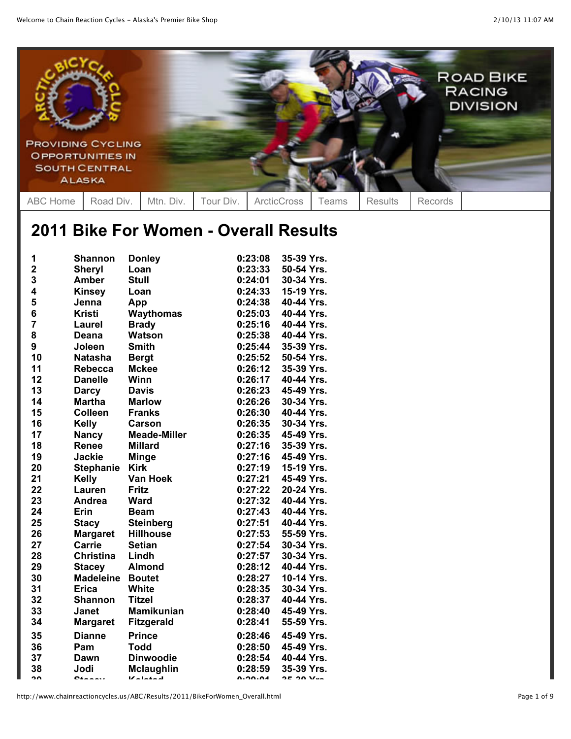

## **2011 Bike For Women - Overall Results**

| 1                       | <b>Shannon</b>   | <b>Donley</b>       | 0:23:08        | 35-39 Yrs.       |
|-------------------------|------------------|---------------------|----------------|------------------|
| $\overline{\mathbf{2}}$ | <b>Sheryl</b>    | Loan                | 0:23:33        | 50-54 Yrs.       |
| 3                       | <b>Amber</b>     | <b>Stull</b>        | 0:24:01        | 30-34 Yrs.       |
| 4                       | <b>Kinsey</b>    | Loan                | 0:24:33        | 15-19 Yrs.       |
| 5                       | Jenna            | App                 | 0:24:38        | 40-44 Yrs.       |
| 6                       | <b>Kristi</b>    | Waythomas           | 0:25:03        | 40-44 Yrs.       |
| $\overline{7}$          | Laurel           | <b>Brady</b>        | 0:25:16        | 40-44 Yrs.       |
| 8                       | <b>Deana</b>     | <b>Watson</b>       | 0:25:38        | 40-44 Yrs.       |
| $\boldsymbol{9}$        | Joleen           | <b>Smith</b>        | 0:25:44        | 35-39 Yrs.       |
| 10                      | <b>Natasha</b>   | <b>Bergt</b>        | 0:25:52        | 50-54 Yrs.       |
| 11                      | <b>Rebecca</b>   | <b>Mckee</b>        | 0:26:12        | 35-39 Yrs.       |
| 12                      | <b>Danelle</b>   | Winn                | 0:26:17        | 40-44 Yrs.       |
| 13                      | <b>Darcy</b>     | <b>Davis</b>        | 0:26:23        | 45-49 Yrs.       |
| 14                      | <b>Martha</b>    | <b>Marlow</b>       | 0:26:26        | 30-34 Yrs.       |
| 15                      | <b>Colleen</b>   | <b>Franks</b>       | 0:26:30        | 40-44 Yrs.       |
| 16                      | <b>Kelly</b>     | Carson              | 0:26:35        | 30-34 Yrs.       |
| 17                      | <b>Nancy</b>     | <b>Meade-Miller</b> | 0:26:35        | 45-49 Yrs.       |
| 18                      | Renee            | <b>Millard</b>      | 0:27:16        | 35-39 Yrs.       |
| 19                      | <b>Jackie</b>    | <b>Minge</b>        | 0:27:16        | 45-49 Yrs.       |
| 20                      | <b>Stephanie</b> | <b>Kirk</b>         | 0:27:19        | 15-19 Yrs.       |
| 21                      | <b>Kelly</b>     | Van Hoek            | 0:27:21        | 45-49 Yrs.       |
| 22                      | Lauren           | <b>Fritz</b>        | 0:27:22        | 20-24 Yrs.       |
| 23                      | Andrea           | <b>Ward</b>         | 0:27:32        | 40-44 Yrs.       |
| 24                      | Erin             | <b>Beam</b>         | 0:27:43        | 40-44 Yrs.       |
| 25                      | <b>Stacy</b>     | <b>Steinberg</b>    | 0:27:51        | 40-44 Yrs.       |
| 26                      | <b>Margaret</b>  | <b>Hillhouse</b>    | 0:27:53        | 55-59 Yrs.       |
| 27                      | <b>Carrie</b>    | <b>Setian</b>       | 0:27:54        | 30-34 Yrs.       |
| 28                      | <b>Christina</b> | Lindh               | 0:27:57        | 30-34 Yrs.       |
| 29                      | <b>Stacey</b>    | <b>Almond</b>       | 0:28:12        | 40-44 Yrs.       |
| 30                      | <b>Madeleine</b> | <b>Boutet</b>       | 0:28:27        | 10-14 Yrs.       |
| 31                      | <b>Erica</b>     | <b>White</b>        | 0:28:35        | 30-34 Yrs.       |
| 32                      | <b>Shannon</b>   | <b>Titzel</b>       | 0:28:37        | 40-44 Yrs.       |
| 33                      | <b>Janet</b>     | <b>Mamikunian</b>   | 0:28:40        | 45-49 Yrs.       |
| 34                      | <b>Margaret</b>  | <b>Fitzgerald</b>   | 0:28:41        | 55-59 Yrs.       |
| 35                      | <b>Dianne</b>    | <b>Prince</b>       | 0:28:46        | 45-49 Yrs.       |
| 36                      | Pam              | <b>Todd</b>         | 0:28:50        | 45-49 Yrs.       |
| 37                      | Dawn             | <b>Dinwoodie</b>    | 0:28:54        | 40-44 Yrs.       |
| 38                      | Jodi             | <b>Mclaughlin</b>   | 0:28:59        | 35-39 Yrs.       |
| າດ                      | $0$ innais       | $V$ alatad          | <b>A.OO.AA</b> | <b>OF ON Ven</b> |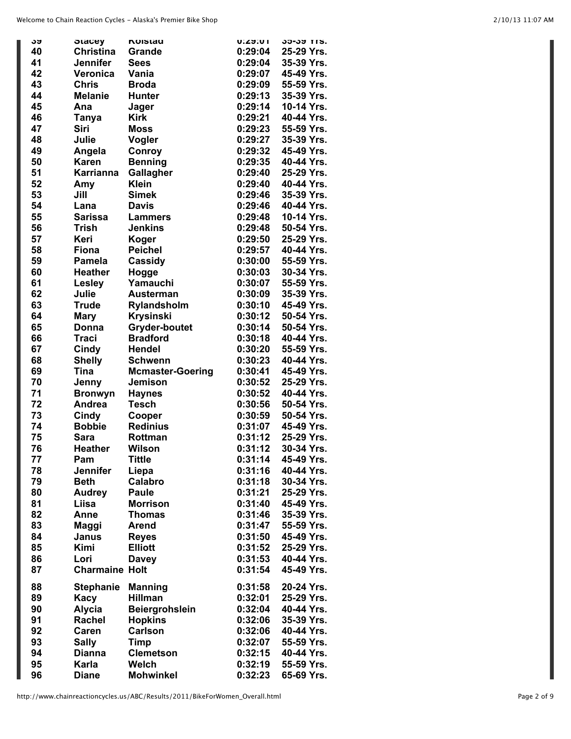|    |                                   | <b>NUISIAU</b>          | ו∪∶בא:ט | <b>JJ-JJ IIS.</b> |
|----|-----------------------------------|-------------------------|---------|-------------------|
| აუ | <b>Stacey</b><br><b>Christina</b> |                         | 0:29:04 |                   |
| 40 |                                   | Grande                  |         | 25-29 Yrs.        |
| 41 | Jennifer                          | <b>Sees</b>             | 0:29:04 | 35-39 Yrs.        |
| 42 | Veronica                          | Vania                   | 0:29:07 | 45-49 Yrs.        |
| 43 | <b>Chris</b>                      | <b>Broda</b>            | 0:29:09 | 55-59 Yrs.        |
| 44 | <b>Melanie</b>                    | <b>Hunter</b>           | 0:29:13 | 35-39 Yrs.        |
| 45 | Ana                               | Jager                   | 0:29:14 | 10-14 Yrs.        |
| 46 |                                   | <b>Kirk</b>             | 0:29:21 | 40-44 Yrs.        |
|    | Tanya                             |                         |         |                   |
| 47 | <b>Siri</b>                       | <b>Moss</b>             | 0:29:23 | 55-59 Yrs.        |
| 48 | Julie                             | Vogler                  | 0:29:27 | 35-39 Yrs.        |
| 49 | Angela                            | Conroy                  | 0:29:32 | 45-49 Yrs.        |
| 50 | <b>Karen</b>                      | <b>Benning</b>          | 0:29:35 | 40-44 Yrs.        |
| 51 | <b>Karrianna</b>                  | Gallagher               | 0:29:40 | 25-29 Yrs.        |
| 52 | Amy                               | <b>Klein</b>            | 0:29:40 | 40-44 Yrs.        |
|    |                                   |                         |         | 35-39 Yrs.        |
| 53 | Jill                              | <b>Simek</b>            | 0:29:46 |                   |
| 54 | Lana                              | <b>Davis</b>            | 0:29:46 | 40-44 Yrs.        |
| 55 | <b>Sarissa</b>                    | <b>Lammers</b>          | 0:29:48 | 10-14 Yrs.        |
| 56 | Trish                             | <b>Jenkins</b>          | 0:29:48 | 50-54 Yrs.        |
| 57 | Keri                              | Koger                   | 0:29:50 | 25-29 Yrs.        |
| 58 | <b>Fiona</b>                      | <b>Peichel</b>          | 0:29:57 | 40-44 Yrs.        |
| 59 | <b>Pamela</b>                     |                         | 0:30:00 | 55-59 Yrs.        |
|    |                                   | Cassidy                 |         |                   |
| 60 | <b>Heather</b>                    | Hogge                   | 0:30:03 | 30-34 Yrs.        |
| 61 | Lesley                            | Yamauchi                | 0:30:07 | 55-59 Yrs.        |
| 62 | Julie                             | <b>Austerman</b>        | 0:30:09 | 35-39 Yrs.        |
| 63 | <b>Trude</b>                      | Rylandsholm             | 0:30:10 | 45-49 Yrs.        |
| 64 | <b>Mary</b>                       | <b>Krysinski</b>        | 0:30:12 | 50-54 Yrs.        |
| 65 | Donna                             | <b>Gryder-boutet</b>    | 0:30:14 | 50-54 Yrs.        |
|    |                                   |                         |         | 40-44 Yrs.        |
| 66 | <b>Traci</b>                      | <b>Bradford</b>         | 0:30:18 |                   |
| 67 | Cindy                             | <b>Hendel</b>           | 0:30:20 | 55-59 Yrs.        |
| 68 | <b>Shelly</b>                     | <b>Schwenn</b>          | 0:30:23 | 40-44 Yrs.        |
| 69 | <b>Tina</b>                       | <b>Mcmaster-Goering</b> | 0:30:41 | 45-49 Yrs.        |
| 70 | Jenny                             | <b>Jemison</b>          | 0:30:52 | 25-29 Yrs.        |
| 71 | <b>Bronwyn</b>                    | <b>Haynes</b>           | 0:30:52 | 40-44 Yrs.        |
| 72 | Andrea                            | <b>Tesch</b>            | 0:30:56 | 50-54 Yrs.        |
| 73 |                                   |                         | 0:30:59 | 50-54 Yrs.        |
|    | Cindy                             | Cooper                  |         |                   |
| 74 | <b>Bobbie</b>                     | <b>Redinius</b>         | 0:31:07 | 45-49 Yrs.        |
| 75 | Sara                              | Rottman                 | 0:31:12 | 25-29 Yrs.        |
| 76 | <b>Heather</b>                    | Wilson                  | 0:31:12 | 30-34 Yrs.        |
| 77 | Pam                               | <b>Tittle</b>           | 0:31:14 | 45-49 Yrs.        |
| 78 | Jennifer                          | Liepa                   | 0:31:16 | 40-44 Yrs.        |
| 79 | <b>Beth</b>                       | Calabro                 | 0:31:18 | 30-34 Yrs.        |
|    |                                   |                         | 0:31:21 | 25-29 Yrs.        |
| 80 | <b>Audrey</b>                     | <b>Paule</b>            |         |                   |
| 81 | Liisa                             | <b>Morrison</b>         | 0:31:40 | 45-49 Yrs.        |
| 82 | Anne                              | <b>Thomas</b>           | 0:31:46 | 35-39 Yrs.        |
| 83 | Maggi                             | <b>Arend</b>            | 0:31:47 | 55-59 Yrs.        |
| 84 | Janus                             | <b>Reyes</b>            | 0:31:50 | 45-49 Yrs.        |
| 85 | Kimi                              | <b>Elliott</b>          | 0:31:52 | 25-29 Yrs.        |
| 86 | Lori                              | <b>Davey</b>            | 0:31:53 | 40-44 Yrs.        |
| 87 | <b>Charmaine Holt</b>             |                         | 0:31:54 | 45-49 Yrs.        |
|    |                                   |                         |         |                   |
| 88 | <b>Stephanie</b>                  | <b>Manning</b>          | 0:31:58 | 20-24 Yrs.        |
| 89 | Kacy                              | <b>Hillman</b>          | 0:32:01 | 25-29 Yrs.        |
|    |                                   |                         |         |                   |
| 90 | <b>Alycia</b>                     | <b>Beiergrohslein</b>   | 0:32:04 | 40-44 Yrs.        |
| 91 | Rachel                            | <b>Hopkins</b>          | 0:32:06 | 35-39 Yrs.        |
| 92 | Caren                             | <b>Carlson</b>          | 0:32:06 | 40-44 Yrs.        |
| 93 | <b>Sally</b>                      | <b>Timp</b>             | 0:32:07 | 55-59 Yrs.        |
| 94 | <b>Dianna</b>                     | <b>Clemetson</b>        | 0:32:15 | 40-44 Yrs.        |
| 95 | Karla                             | Welch                   | 0:32:19 | 55-59 Yrs.        |
| 96 | <b>Diane</b>                      | <b>Mohwinkel</b>        | 0:32:23 | 65-69 Yrs.        |
|    |                                   |                         |         |                   |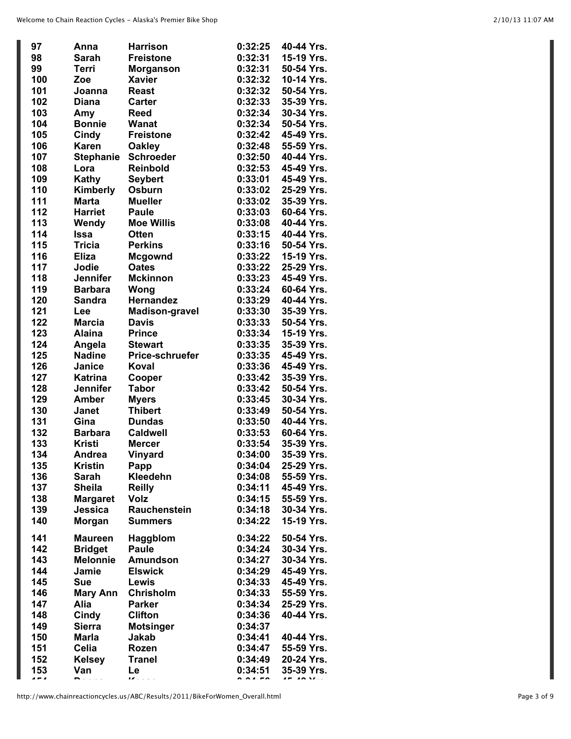| 97                       | Anna             | <b>Harrison</b>       | 0:32:25 | 40-44 Yrs. |
|--------------------------|------------------|-----------------------|---------|------------|
| 98                       | <b>Sarah</b>     | <b>Freistone</b>      | 0:32:31 | 15-19 Yrs. |
| 99                       | <b>Terri</b>     | <b>Morganson</b>      | 0:32:31 | 50-54 Yrs. |
| 100                      | Zoe              | <b>Xavier</b>         | 0:32:32 | 10-14 Yrs. |
| 101                      | Joanna           | <b>Reast</b>          | 0:32:32 | 50-54 Yrs. |
| 102                      | <b>Diana</b>     | <b>Carter</b>         | 0:32:33 | 35-39 Yrs. |
| 103                      | Amy              | <b>Reed</b>           | 0:32:34 | 30-34 Yrs. |
| 104                      | <b>Bonnie</b>    | <b>Wanat</b>          | 0:32:34 | 50-54 Yrs. |
| 105                      | Cindy            | <b>Freistone</b>      | 0:32:42 | 45-49 Yrs. |
| 106                      | <b>Karen</b>     | <b>Oakley</b>         | 0:32:48 | 55-59 Yrs. |
| 107                      | <b>Stephanie</b> | <b>Schroeder</b>      | 0:32:50 | 40-44 Yrs. |
| 108                      | Lora             | Reinbold              | 0:32:53 | 45-49 Yrs. |
| 109                      | Kathy            | <b>Seybert</b>        | 0:33:01 | 45-49 Yrs. |
| 110                      | Kimberly         | Osburn                | 0:33:02 | 25-29 Yrs. |
| 111                      | <b>Marta</b>     | <b>Mueller</b>        | 0:33:02 | 35-39 Yrs. |
| 112                      | <b>Harriet</b>   | <b>Paule</b>          | 0:33:03 | 60-64 Yrs. |
| 113                      | Wendy            | <b>Moe Willis</b>     | 0:33:08 | 40-44 Yrs. |
| 114                      | <b>Issa</b>      | <b>Otten</b>          | 0:33:15 | 40-44 Yrs. |
| 115                      | <b>Tricia</b>    | <b>Perkins</b>        | 0:33:16 | 50-54 Yrs. |
| 116                      | <b>Eliza</b>     | <b>Mcgownd</b>        | 0:33:22 | 15-19 Yrs. |
| 117                      | Jodie            | <b>Oates</b>          | 0:33:22 | 25-29 Yrs. |
| 118                      | Jennifer         | <b>Mckinnon</b>       | 0:33:23 | 45-49 Yrs. |
| 119                      | <b>Barbara</b>   | Wong                  | 0:33:24 | 60-64 Yrs. |
| 120                      | <b>Sandra</b>    | Hernandez             | 0:33:29 | 40-44 Yrs. |
| 121                      | Lee              | <b>Madison-gravel</b> | 0:33:30 | 35-39 Yrs. |
| 122                      | <b>Marcia</b>    | <b>Davis</b>          | 0:33:33 | 50-54 Yrs. |
| 123                      | <b>Alaina</b>    | <b>Prince</b>         | 0:33:34 | 15-19 Yrs. |
| 124                      | Angela           | <b>Stewart</b>        | 0:33:35 | 35-39 Yrs. |
| 125                      | <b>Nadine</b>    | Price-schruefer       | 0:33:35 | 45-49 Yrs. |
| 126                      | Janice           | Koval                 | 0:33:36 | 45-49 Yrs. |
| 127                      | <b>Katrina</b>   | Cooper                | 0:33:42 | 35-39 Yrs. |
| 128                      | <b>Jennifer</b>  | <b>Tabor</b>          | 0:33:42 | 50-54 Yrs. |
| 129                      | <b>Amber</b>     | <b>Myers</b>          | 0:33:45 | 30-34 Yrs. |
| 130                      | <b>Janet</b>     | <b>Thibert</b>        | 0:33:49 | 50-54 Yrs. |
| 131                      | Gina             | <b>Dundas</b>         | 0:33:50 | 40-44 Yrs. |
| 132                      | <b>Barbara</b>   | <b>Caldwell</b>       | 0:33:53 | 60-64 Yrs. |
| 133                      | <b>Kristi</b>    | <b>Mercer</b>         | 0:33:54 | 35-39 Yrs. |
| 134                      | <b>Andrea</b>    | Vinyard               | 0:34:00 | 35-39 Yrs. |
| 135                      | <b>Kristin</b>   | Papp                  | 0:34:04 | 25-29 Yrs. |
| 136                      | <b>Sarah</b>     | Kleedehn              | 0:34:08 | 55-59 Yrs. |
| 137                      | <b>Sheila</b>    | <b>Reilly</b>         | 0:34:11 | 45-49 Yrs. |
| 138                      | <b>Margaret</b>  | <b>Volz</b>           | 0:34:15 | 55-59 Yrs. |
| 139                      | Jessica          | <b>Rauchenstein</b>   | 0:34:18 | 30-34 Yrs. |
| 140                      | Morgan           | <b>Summers</b>        | 0:34:22 | 15-19 Yrs. |
| 141                      | <b>Maureen</b>   | Haggblom              | 0:34:22 | 50-54 Yrs. |
| 142                      | <b>Bridget</b>   | <b>Paule</b>          | 0:34:24 | 30-34 Yrs. |
| 143                      | <b>Melonnie</b>  | <b>Amundson</b>       | 0:34:27 | 30-34 Yrs. |
| 144                      | Jamie            | <b>Elswick</b>        | 0:34:29 | 45-49 Yrs. |
| 145                      | <b>Sue</b>       | Lewis                 | 0:34:33 | 45-49 Yrs. |
| 146                      | <b>Mary Ann</b>  | <b>Chrisholm</b>      | 0:34:33 | 55-59 Yrs. |
| 147                      | Alia             | <b>Parker</b>         | 0:34:34 | 25-29 Yrs. |
| 148                      | Cindy            | <b>Clifton</b>        | 0:34:36 | 40-44 Yrs. |
| 149                      | <b>Sierra</b>    | <b>Motsinger</b>      | 0:34:37 |            |
| 150                      | <b>Marla</b>     | Jakab                 | 0:34:41 | 40-44 Yrs. |
| 151                      | Celia            | Rozen                 | 0:34:47 | 55-59 Yrs. |
| 152                      | <b>Kelsey</b>    | <b>Tranel</b>         | 0:34:49 | 20-24 Yrs. |
| 153                      | Van              | Le                    | 0:34:51 | 35-39 Yrs. |
| $\overline{\phantom{a}}$ |                  | $\overline{z}$        |         |            |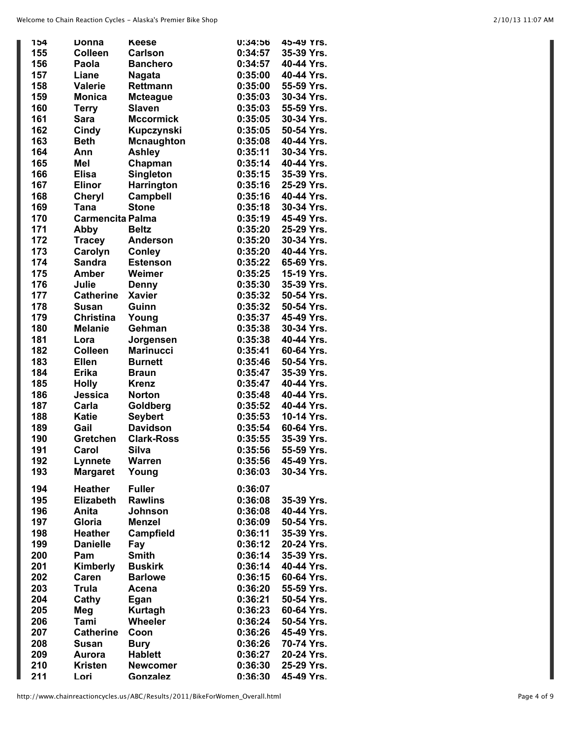| 154 | Donna                   | <b>Keese</b>      | 0:34:56 | 45-49 Yrs. |
|-----|-------------------------|-------------------|---------|------------|
| 155 | <b>Colleen</b>          | <b>Carlson</b>    | 0:34:57 | 35-39 Yrs. |
| 156 | Paola                   | <b>Banchero</b>   | 0:34:57 | 40-44 Yrs. |
| 157 | Liane                   | <b>Nagata</b>     | 0:35:00 | 40-44 Yrs. |
| 158 | <b>Valerie</b>          | <b>Rettmann</b>   | 0:35:00 | 55-59 Yrs. |
|     |                         |                   |         |            |
| 159 | <b>Monica</b>           | <b>Mcteague</b>   | 0:35:03 | 30-34 Yrs. |
| 160 | <b>Terry</b>            | <b>Slaven</b>     | 0:35:03 | 55-59 Yrs. |
| 161 | <b>Sara</b>             | <b>Mccormick</b>  | 0:35:05 | 30-34 Yrs. |
| 162 | <b>Cindy</b>            | Kupczynski        | 0:35:05 | 50-54 Yrs. |
| 163 | <b>Beth</b>             | <b>Mcnaughton</b> | 0:35:08 | 40-44 Yrs. |
| 164 | Ann                     | <b>Ashley</b>     | 0:35:11 | 30-34 Yrs. |
| 165 | Mel                     | Chapman           | 0:35:14 | 40-44 Yrs. |
| 166 | <b>Elisa</b>            | Singleton         | 0:35:15 | 35-39 Yrs. |
| 167 | <b>Elinor</b>           |                   |         | 25-29 Yrs. |
|     |                         | Harrington        | 0:35:16 |            |
| 168 | <b>Cheryl</b>           | <b>Campbell</b>   | 0:35:16 | 40-44 Yrs. |
| 169 | <b>Tana</b>             | <b>Stone</b>      | 0:35:18 | 30-34 Yrs. |
| 170 | <b>Carmencita Palma</b> |                   | 0:35:19 | 45-49 Yrs. |
| 171 | Abby                    | <b>Beltz</b>      | 0:35:20 | 25-29 Yrs. |
| 172 | <b>Tracey</b>           | <b>Anderson</b>   | 0:35:20 | 30-34 Yrs. |
| 173 | Carolyn                 | <b>Conley</b>     | 0:35:20 | 40-44 Yrs. |
| 174 | <b>Sandra</b>           | <b>Estenson</b>   | 0:35:22 | 65-69 Yrs. |
| 175 | <b>Amber</b>            | Weimer            | 0:35:25 | 15-19 Yrs. |
|     |                         |                   |         |            |
| 176 | Julie                   | <b>Denny</b>      | 0:35:30 | 35-39 Yrs. |
| 177 | <b>Catherine</b>        | <b>Xavier</b>     | 0:35:32 | 50-54 Yrs. |
| 178 | Susan                   | Guinn             | 0:35:32 | 50-54 Yrs. |
| 179 | <b>Christina</b>        | Young             | 0:35:37 | 45-49 Yrs. |
| 180 | <b>Melanie</b>          | Gehman            | 0:35:38 | 30-34 Yrs. |
| 181 | Lora                    | Jorgensen         | 0:35:38 | 40-44 Yrs. |
| 182 | <b>Colleen</b>          | <b>Marinucci</b>  | 0:35:41 | 60-64 Yrs. |
| 183 | <b>Ellen</b>            |                   |         | 50-54 Yrs. |
|     |                         | <b>Burnett</b>    | 0:35:46 |            |
| 184 | <b>Erika</b>            | <b>Braun</b>      | 0:35:47 | 35-39 Yrs. |
| 185 | <b>Holly</b>            | <b>Krenz</b>      | 0:35:47 | 40-44 Yrs. |
| 186 | Jessica                 | <b>Norton</b>     | 0:35:48 | 40-44 Yrs. |
| 187 | Carla                   | Goldberg          | 0:35:52 | 40-44 Yrs. |
| 188 | <b>Katie</b>            | <b>Seybert</b>    | 0:35:53 | 10-14 Yrs. |
| 189 | Gail                    | <b>Davidson</b>   | 0:35:54 | 60-64 Yrs. |
| 190 | Gretchen                | <b>Clark-Ross</b> | 0:35:55 | 35-39 Yrs. |
| 191 | Carol                   | <b>Silva</b>      | 0:35:56 | 55-59 Yrs. |
|     |                         |                   |         |            |
| 192 | Lynnete                 | <b>Warren</b>     | 0:35:56 | 45-49 Yrs. |
| 193 | <b>Margaret</b>         | Young             | 0:36:03 | 30-34 Yrs. |
| 194 | <b>Heather</b>          | <b>Fuller</b>     | 0:36:07 |            |
|     | <b>Elizabeth</b>        | <b>Rawlins</b>    |         | 35-39 Yrs. |
| 195 |                         |                   | 0:36:08 |            |
| 196 | Anita                   | <b>Johnson</b>    | 0:36:08 | 40-44 Yrs. |
| 197 | Gloria                  | <b>Menzel</b>     | 0:36:09 | 50-54 Yrs. |
| 198 | <b>Heather</b>          | Campfield         | 0:36:11 | 35-39 Yrs. |
| 199 | <b>Danielle</b>         | Fay               | 0:36:12 | 20-24 Yrs. |
| 200 | Pam                     | <b>Smith</b>      | 0:36:14 | 35-39 Yrs. |
| 201 | Kimberly                | <b>Buskirk</b>    | 0:36:14 | 40-44 Yrs. |
| 202 | Caren                   | <b>Barlowe</b>    | 0:36:15 | 60-64 Yrs. |
| 203 |                         |                   |         | 55-59 Yrs. |
|     | Trula                   | Acena             | 0:36:20 |            |
| 204 | Cathy                   | Egan              | 0:36:21 | 50-54 Yrs. |
| 205 | Meg                     | <b>Kurtagh</b>    | 0:36:23 | 60-64 Yrs. |
| 206 | Tami                    | <b>Wheeler</b>    | 0:36:24 | 50-54 Yrs. |
| 207 | <b>Catherine</b>        | Coon              | 0:36:26 | 45-49 Yrs. |
| 208 | <b>Susan</b>            | <b>Bury</b>       | 0:36:26 | 70-74 Yrs. |
| 209 | Aurora                  | <b>Hablett</b>    | 0:36:27 | 20-24 Yrs. |
| 210 | <b>Kristen</b>          | <b>Newcomer</b>   | 0:36:30 | 25-29 Yrs. |
| 211 | Lori                    | Gonzalez          | 0:36:30 | 45-49 Yrs. |
|     |                         |                   |         |            |

L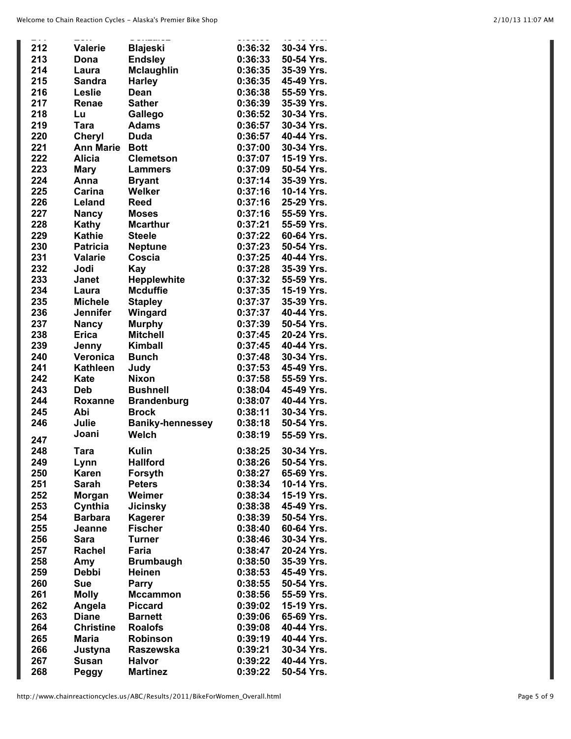| 212 | <b>Valerie</b>   | <b>Blajeski</b>         | 0:36:32 | 30-34 Yrs. |
|-----|------------------|-------------------------|---------|------------|
| 213 | Dona             | <b>Endsley</b>          | 0:36:33 | 50-54 Yrs. |
| 214 | Laura            | <b>Mclaughlin</b>       | 0:36:35 | 35-39 Yrs. |
| 215 | <b>Sandra</b>    | <b>Harley</b>           | 0:36:35 | 45-49 Yrs. |
| 216 |                  | Dean                    | 0:36:38 | 55-59 Yrs. |
|     | Leslie           |                         |         |            |
| 217 | Renae            | <b>Sather</b>           | 0:36:39 | 35-39 Yrs. |
| 218 | Lu               | Gallego                 | 0:36:52 | 30-34 Yrs. |
| 219 | <b>Tara</b>      | <b>Adams</b>            | 0:36:57 | 30-34 Yrs. |
| 220 | <b>Cheryl</b>    | <b>Duda</b>             | 0:36:57 | 40-44 Yrs. |
| 221 | <b>Ann Marie</b> | <b>Bott</b>             | 0:37:00 | 30-34 Yrs. |
| 222 | Alicia           | <b>Clemetson</b>        | 0:37:07 | 15-19 Yrs. |
| 223 | <b>Mary</b>      | <b>Lammers</b>          | 0:37:09 | 50-54 Yrs. |
| 224 | Anna             | <b>Bryant</b>           | 0:37:14 | 35-39 Yrs. |
| 225 | Carina           | <b>Welker</b>           | 0:37:16 | 10-14 Yrs. |
| 226 | Leland           | <b>Reed</b>             | 0:37:16 | 25-29 Yrs. |
| 227 | <b>Nancy</b>     | <b>Moses</b>            | 0:37:16 | 55-59 Yrs. |
| 228 | Kathy            | <b>Mcarthur</b>         | 0:37:21 | 55-59 Yrs. |
| 229 | <b>Kathie</b>    | <b>Steele</b>           | 0:37:22 | 60-64 Yrs. |
| 230 | <b>Patricia</b>  | <b>Neptune</b>          | 0:37:23 | 50-54 Yrs. |
| 231 | <b>Valarie</b>   | Coscia                  | 0:37:25 | 40-44 Yrs. |
|     |                  |                         |         | 35-39 Yrs. |
| 232 | Jodi             | Kay                     | 0:37:28 |            |
| 233 | <b>Janet</b>     | <b>Hepplewhite</b>      | 0:37:32 | 55-59 Yrs. |
| 234 | Laura            | <b>Mcduffie</b>         | 0:37:35 | 15-19 Yrs. |
| 235 | <b>Michele</b>   | <b>Stapley</b>          | 0:37:37 | 35-39 Yrs. |
| 236 | <b>Jennifer</b>  | Wingard                 | 0:37:37 | 40-44 Yrs. |
| 237 | <b>Nancy</b>     | <b>Murphy</b>           | 0:37:39 | 50-54 Yrs. |
| 238 | <b>Erica</b>     | <b>Mitchell</b>         | 0:37:45 | 20-24 Yrs. |
| 239 | Jenny            | <b>Kimball</b>          | 0:37:45 | 40-44 Yrs. |
| 240 | Veronica         | <b>Bunch</b>            | 0:37:48 | 30-34 Yrs. |
| 241 | <b>Kathleen</b>  | Judy                    | 0:37:53 | 45-49 Yrs. |
| 242 | Kate             | <b>Nixon</b>            | 0:37:58 | 55-59 Yrs. |
| 243 | <b>Deb</b>       | <b>Bushnell</b>         | 0:38:04 | 45-49 Yrs. |
| 244 | Roxanne          | <b>Brandenburg</b>      | 0:38:07 | 40-44 Yrs. |
| 245 | Abi              | <b>Brock</b>            | 0:38:11 | 30-34 Yrs. |
| 246 | Julie            | <b>Baniky-hennessey</b> | 0:38:18 | 50-54 Yrs. |
|     | Joani            | Welch                   | 0:38:19 | 55-59 Yrs. |
| 247 |                  |                         |         |            |
| 248 | <b>Tara</b>      | <b>Kulin</b>            | 0:38:25 | 30-34 Yrs. |
| 249 | Lynn             | <b>Hallford</b>         | 0:38:26 | 50-54 Yrs. |
| 250 | <b>Karen</b>     | Forsyth                 | 0:38:27 | 65-69 Yrs. |
| 251 | <b>Sarah</b>     | <b>Peters</b>           | 0:38:34 | 10-14 Yrs. |
| 252 | <b>Morgan</b>    | Weimer                  | 0:38:34 | 15-19 Yrs. |
| 253 | Cynthia          | <b>Jicinsky</b>         | 0:38:38 | 45-49 Yrs. |
| 254 | <b>Barbara</b>   | Kagerer                 | 0:38:39 | 50-54 Yrs. |
| 255 | Jeanne           | <b>Fischer</b>          | 0:38:40 | 60-64 Yrs. |
| 256 | Sara             | Turner                  | 0:38:46 | 30-34 Yrs. |
| 257 | Rachel           | Faria                   | 0:38:47 | 20-24 Yrs. |
| 258 |                  | <b>Brumbaugh</b>        | 0:38:50 | 35-39 Yrs. |
|     | Amy              |                         |         |            |
| 259 | <b>Debbi</b>     | Heinen                  | 0:38:53 | 45-49 Yrs. |
| 260 | <b>Sue</b>       | <b>Parry</b>            | 0:38:55 | 50-54 Yrs. |
| 261 | <b>Molly</b>     | <b>Mccammon</b>         | 0:38:56 | 55-59 Yrs. |
| 262 | Angela           | <b>Piccard</b>          | 0:39:02 | 15-19 Yrs. |
| 263 | <b>Diane</b>     | <b>Barnett</b>          | 0:39:06 | 65-69 Yrs. |
| 264 | <b>Christine</b> | <b>Roalofs</b>          | 0:39:08 | 40-44 Yrs. |
| 265 | <b>Maria</b>     | <b>Robinson</b>         | 0:39:19 | 40-44 Yrs. |
| 266 | Justyna          | Raszewska               | 0:39:21 | 30-34 Yrs. |
| 267 | <b>Susan</b>     | <b>Halvor</b>           | 0:39:22 | 40-44 Yrs. |
| 268 | Peggy            | <b>Martinez</b>         | 0:39:22 | 50-54 Yrs. |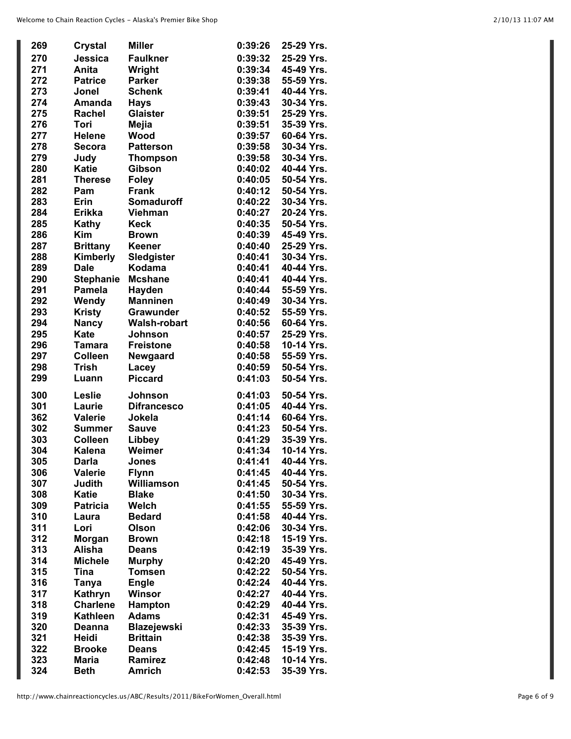| 269 | <b>Crystal</b>   | <b>Miller</b>       | 0:39:26 | 25-29 Yrs. |
|-----|------------------|---------------------|---------|------------|
|     |                  |                     |         |            |
| 270 | Jessica          | <b>Faulkner</b>     | 0:39:32 | 25-29 Yrs. |
| 271 | Anita            | Wright              | 0:39:34 | 45-49 Yrs. |
| 272 | <b>Patrice</b>   | <b>Parker</b>       | 0:39:38 | 55-59 Yrs. |
| 273 | Jonel            | <b>Schenk</b>       | 0:39:41 | 40-44 Yrs. |
| 274 | Amanda           | <b>Hays</b>         | 0:39:43 | 30-34 Yrs. |
| 275 | <b>Rachel</b>    | <b>Glaister</b>     | 0:39:51 | 25-29 Yrs. |
| 276 | Tori             | <b>Mejia</b>        | 0:39:51 | 35-39 Yrs. |
| 277 | <b>Helene</b>    | Wood                | 0:39:57 | 60-64 Yrs. |
| 278 | <b>Secora</b>    | <b>Patterson</b>    | 0:39:58 | 30-34 Yrs. |
| 279 | Judy             | <b>Thompson</b>     | 0:39:58 | 30-34 Yrs. |
| 280 | <b>Katie</b>     | <b>Gibson</b>       | 0:40:02 | 40-44 Yrs. |
| 281 |                  |                     |         | 50-54 Yrs. |
|     | <b>Therese</b>   | <b>Foley</b>        | 0:40:05 |            |
| 282 | Pam              | <b>Frank</b>        | 0:40:12 | 50-54 Yrs. |
| 283 | Erin             | <b>Somaduroff</b>   | 0:40:22 | 30-34 Yrs. |
| 284 | <b>Erikka</b>    | <b>Viehman</b>      | 0:40:27 | 20-24 Yrs. |
| 285 | <b>Kathy</b>     | <b>Keck</b>         | 0:40:35 | 50-54 Yrs. |
| 286 | <b>Kim</b>       | <b>Brown</b>        | 0:40:39 | 45-49 Yrs. |
| 287 | <b>Brittany</b>  | Keener              | 0:40:40 | 25-29 Yrs. |
| 288 | Kimberly         | Sledgister          | 0:40:41 | 30-34 Yrs. |
| 289 | <b>Dale</b>      | Kodama              | 0:40:41 | 40-44 Yrs. |
| 290 | <b>Stephanie</b> | <b>Mcshane</b>      | 0:40:41 | 40-44 Yrs. |
| 291 | <b>Pamela</b>    | Hayden              | 0:40:44 | 55-59 Yrs. |
| 292 | Wendy            | <b>Manninen</b>     | 0:40:49 | 30-34 Yrs. |
|     |                  |                     |         |            |
| 293 | <b>Kristy</b>    | <b>Grawunder</b>    | 0:40:52 | 55-59 Yrs. |
| 294 | <b>Nancy</b>     | <b>Walsh-robart</b> | 0:40:56 | 60-64 Yrs. |
| 295 | <b>Kate</b>      | <b>Johnson</b>      | 0:40:57 | 25-29 Yrs. |
| 296 | <b>Tamara</b>    | <b>Freistone</b>    | 0:40:58 | 10-14 Yrs. |
| 297 | <b>Colleen</b>   | Newgaard            | 0:40:58 | 55-59 Yrs. |
| 298 | <b>Trish</b>     | Lacey               | 0:40:59 | 50-54 Yrs. |
| 299 | Luann            | <b>Piccard</b>      | 0:41:03 | 50-54 Yrs. |
| 300 | Leslie           | <b>Johnson</b>      | 0:41:03 | 50-54 Yrs. |
| 301 | Laurie           | <b>Difrancesco</b>  | 0:41:05 | 40-44 Yrs. |
| 362 | <b>Valerie</b>   | Jokela              | 0:41:14 | 60-64 Yrs. |
| 302 | <b>Summer</b>    | <b>Sauve</b>        | 0:41:23 | 50-54 Yrs. |
| 303 | <b>Colleen</b>   | Libbey              | 0:41:29 | 35-39 Yrs. |
| 304 | <b>Kalena</b>    | Weimer              | 0:41:34 | 10-14 Yrs. |
| 305 | <b>Darla</b>     | <b>Jones</b>        | 0:41:41 | 40-44 Yrs. |
| 306 | <b>Valerie</b>   | <b>Flynn</b>        | 0:41:45 | 40-44 Yrs. |
| 307 | Judith           | Williamson          | 0:41:45 | 50-54 Yrs. |
| 308 | <b>Katie</b>     | <b>Blake</b>        | 0:41:50 | 30-34 Yrs. |
|     |                  |                     |         |            |
| 309 | <b>Patricia</b>  | Welch               | 0:41:55 | 55-59 Yrs. |
| 310 | Laura            | <b>Bedard</b>       | 0:41:58 | 40-44 Yrs. |
| 311 | Lori             | Olson               | 0:42:06 | 30-34 Yrs. |
| 312 | <b>Morgan</b>    | <b>Brown</b>        | 0:42:18 | 15-19 Yrs. |
| 313 | Alisha           | <b>Deans</b>        | 0:42:19 | 35-39 Yrs. |
| 314 | <b>Michele</b>   | <b>Murphy</b>       | 0:42:20 | 45-49 Yrs. |
| 315 | <b>Tina</b>      | <b>Tomsen</b>       | 0:42:22 | 50-54 Yrs. |
| 316 | Tanya            | <b>Engle</b>        | 0:42:24 | 40-44 Yrs. |
| 317 | Kathryn          | Winsor              | 0:42:27 | 40-44 Yrs. |
| 318 | <b>Charlene</b>  | Hampton             | 0:42:29 | 40-44 Yrs. |
| 319 | Kathleen         | <b>Adams</b>        | 0:42:31 | 45-49 Yrs. |
| 320 | Deanna           | <b>Blazejewski</b>  | 0:42:33 | 35-39 Yrs. |
| 321 | Heidi            | <b>Brittain</b>     | 0:42:38 | 35-39 Yrs. |
|     |                  |                     |         |            |
| 322 | <b>Brooke</b>    | <b>Deans</b>        | 0:42:45 | 15-19 Yrs. |
| 323 | <b>Maria</b>     | Ramirez             | 0:42:48 | 10-14 Yrs. |
| 324 | <b>Beth</b>      | <b>Amrich</b>       | 0:42:53 | 35-39 Yrs. |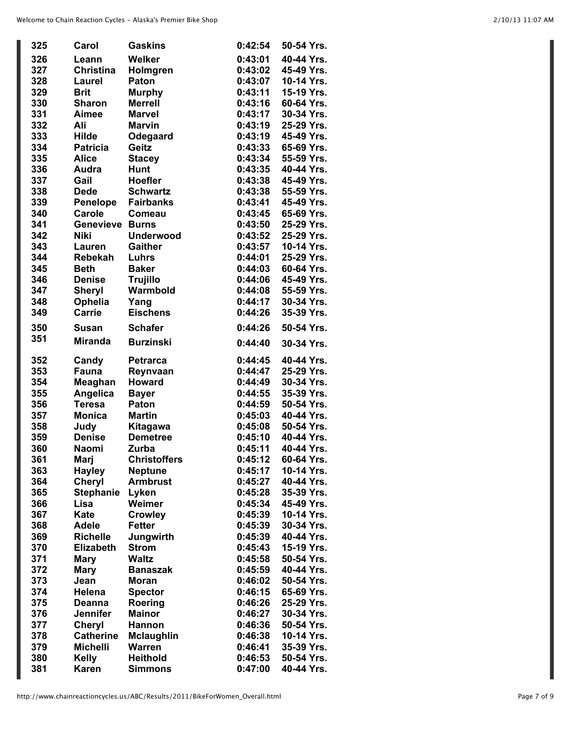| 325 | Carol            | <b>Gaskins</b>      | 0:42:54 | 50-54 Yrs. |
|-----|------------------|---------------------|---------|------------|
| 326 | Leann            | <b>Welker</b>       | 0:43:01 | 40-44 Yrs. |
| 327 | <b>Christina</b> | Holmgren            | 0:43:02 | 45-49 Yrs. |
| 328 | Laurel           | Paton               | 0:43:07 | 10-14 Yrs. |
| 329 | <b>Brit</b>      | <b>Murphy</b>       | 0:43:11 | 15-19 Yrs. |
| 330 | <b>Sharon</b>    | <b>Merrell</b>      | 0:43:16 | 60-64 Yrs. |
| 331 | Aimee            | <b>Marvel</b>       | 0:43:17 | 30-34 Yrs. |
| 332 | Ali              | <b>Marvin</b>       | 0:43:19 | 25-29 Yrs. |
| 333 | <b>Hilde</b>     | Odegaard            | 0:43:19 | 45-49 Yrs. |
| 334 | <b>Patricia</b>  | Geitz               | 0:43:33 | 65-69 Yrs. |
| 335 | <b>Alice</b>     | <b>Stacey</b>       | 0:43:34 | 55-59 Yrs. |
| 336 | Audra            | <b>Hunt</b>         | 0:43:35 | 40-44 Yrs. |
| 337 | Gail             | <b>Hoefler</b>      | 0:43:38 | 45-49 Yrs. |
| 338 | <b>Dede</b>      | <b>Schwartz</b>     | 0:43:38 | 55-59 Yrs. |
| 339 | Penelope         | <b>Fairbanks</b>    | 0:43:41 | 45-49 Yrs. |
| 340 | Carole           | Comeau              | 0:43:45 | 65-69 Yrs. |
| 341 | Genevieve        | <b>Burns</b>        | 0:43:50 | 25-29 Yrs. |
| 342 | Niki             | <b>Underwood</b>    | 0:43:52 | 25-29 Yrs. |
| 343 | Lauren           | <b>Gaither</b>      | 0:43:57 | 10-14 Yrs. |
| 344 | <b>Rebekah</b>   | Luhrs               | 0:44:01 | 25-29 Yrs. |
| 345 | <b>Beth</b>      | <b>Baker</b>        | 0:44:03 | 60-64 Yrs. |
| 346 | <b>Denise</b>    | <b>Trujillo</b>     | 0:44:06 | 45-49 Yrs. |
| 347 | <b>Sheryl</b>    | Warmbold            | 0:44:08 | 55-59 Yrs. |
| 348 | Ophelia          | Yang                | 0:44:17 | 30-34 Yrs. |
| 349 | <b>Carrie</b>    | <b>Eischens</b>     | 0:44:26 | 35-39 Yrs. |
| 350 | <b>Susan</b>     | <b>Schafer</b>      | 0:44:26 | 50-54 Yrs. |
| 351 | <b>Miranda</b>   | <b>Burzinski</b>    | 0:44:40 | 30-34 Yrs. |
| 352 | Candy            | <b>Petrarca</b>     | 0:44:45 | 40-44 Yrs. |
| 353 | Fauna            | Reynvaan            | 0:44:47 | 25-29 Yrs. |
| 354 | Meaghan          | <b>Howard</b>       | 0:44:49 | 30-34 Yrs. |
| 355 | <b>Angelica</b>  | <b>Bayer</b>        | 0:44:55 | 35-39 Yrs. |
| 356 | <b>Teresa</b>    | <b>Paton</b>        | 0:44:59 | 50-54 Yrs. |
| 357 | <b>Monica</b>    | <b>Martin</b>       | 0:45:03 | 40-44 Yrs. |
| 358 | Judy             | Kitagawa            | 0:45:08 | 50-54 Yrs. |
| 359 | <b>Denise</b>    | <b>Demetree</b>     | 0:45:10 | 40-44 Yrs. |
| 360 | <b>Naomi</b>     | Zurba               | 0:45:11 | 40-44 Yrs. |
| 361 | Mari             | <b>Christoffers</b> | 0:45:12 | 60-64 Yrs. |
| 363 | <b>Hayley</b>    | <b>Neptune</b>      | 0:45:17 | 10-14 Yrs. |
| 364 | Cheryl           | <b>Armbrust</b>     | 0:45:27 | 40-44 Yrs. |
| 365 | <b>Stephanie</b> | Lyken               | 0:45:28 | 35-39 Yrs. |
| 366 | Lisa             | Weimer              | 0:45:34 | 45-49 Yrs. |
| 367 | <b>Kate</b>      | <b>Crowley</b>      | 0:45:39 | 10-14 Yrs. |
| 368 | <b>Adele</b>     | <b>Fetter</b>       | 0:45:39 | 30-34 Yrs. |
| 369 | <b>Richelle</b>  | Jungwirth           | 0:45:39 | 40-44 Yrs. |
| 370 | <b>Elizabeth</b> | <b>Strom</b>        | 0:45:43 | 15-19 Yrs. |
| 371 | <b>Mary</b>      | <b>Waltz</b>        | 0:45:58 | 50-54 Yrs. |
| 372 | <b>Mary</b>      | <b>Banaszak</b>     | 0:45:59 | 40-44 Yrs. |
| 373 | Jean             | <b>Moran</b>        | 0:46:02 | 50-54 Yrs. |
| 374 | <b>Helena</b>    | <b>Spector</b>      | 0:46:15 | 65-69 Yrs. |
| 375 | Deanna           | Roering             | 0:46:26 | 25-29 Yrs. |
| 376 | <b>Jennifer</b>  | <b>Mainor</b>       | 0:46:27 | 30-34 Yrs. |
| 377 | <b>Cheryl</b>    | <b>Hannon</b>       | 0:46:36 | 50-54 Yrs. |
| 378 | <b>Catherine</b> | <b>Mclaughlin</b>   | 0:46:38 | 10-14 Yrs. |
| 379 | <b>Michelli</b>  | <b>Warren</b>       | 0:46:41 | 35-39 Yrs. |
| 380 | <b>Kelly</b>     | <b>Heithold</b>     | 0:46:53 | 50-54 Yrs. |
| 381 | <b>Karen</b>     | <b>Simmons</b>      | 0:47:00 | 40-44 Yrs. |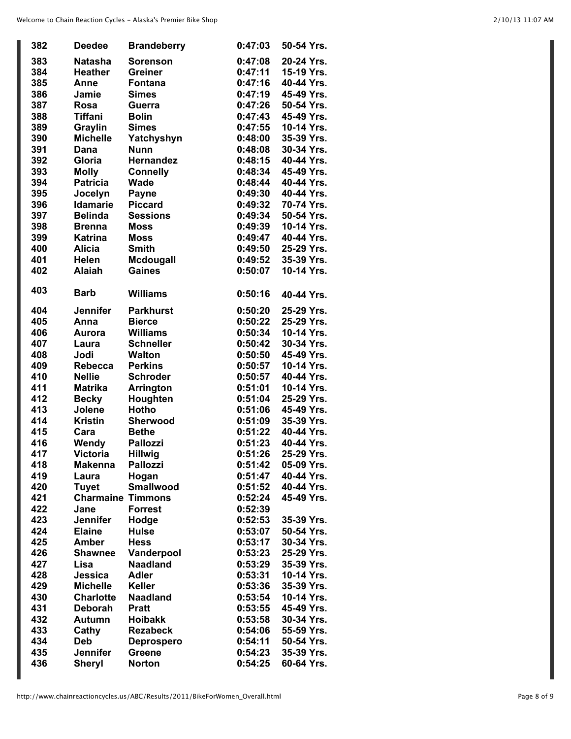| 382 | <b>Deedee</b>            | <b>Brandeberry</b> | 0:47:03 | 50-54 Yrs. |
|-----|--------------------------|--------------------|---------|------------|
| 383 | <b>Natasha</b>           | <b>Sorenson</b>    | 0:47:08 | 20-24 Yrs. |
| 384 | <b>Heather</b>           | <b>Greiner</b>     | 0:47:11 | 15-19 Yrs. |
| 385 | Anne                     | <b>Fontana</b>     | 0:47:16 | 40-44 Yrs. |
| 386 | Jamie                    | <b>Simes</b>       | 0:47:19 | 45-49 Yrs. |
|     |                          |                    |         |            |
| 387 | Rosa                     | <b>Guerra</b>      | 0:47:26 | 50-54 Yrs. |
| 388 | <b>Tiffani</b>           | <b>Bolin</b>       | 0:47:43 | 45-49 Yrs. |
| 389 | Graylin                  | <b>Simes</b>       | 0:47:55 | 10-14 Yrs. |
| 390 | <b>Michelle</b>          | Yatchyshyn         | 0:48:00 | 35-39 Yrs. |
| 391 | Dana                     | <b>Nunn</b>        | 0:48:08 | 30-34 Yrs. |
| 392 | Gloria                   | <b>Hernandez</b>   | 0:48:15 | 40-44 Yrs. |
| 393 | <b>Molly</b>             | <b>Connelly</b>    | 0:48:34 | 45-49 Yrs. |
| 394 | <b>Patricia</b>          | <b>Wade</b>        | 0:48:44 | 40-44 Yrs. |
| 395 | Jocelyn                  | Payne              | 0:49:30 | 40-44 Yrs. |
| 396 | <b>Idamarie</b>          | <b>Piccard</b>     | 0:49:32 | 70-74 Yrs. |
| 397 | <b>Belinda</b>           | <b>Sessions</b>    | 0:49:34 | 50-54 Yrs. |
| 398 | <b>Brenna</b>            | <b>Moss</b>        | 0:49:39 | 10-14 Yrs. |
| 399 | <b>Katrina</b>           | <b>Moss</b>        | 0:49:47 | 40-44 Yrs. |
| 400 | <b>Alicia</b>            | <b>Smith</b>       | 0:49:50 | 25-29 Yrs. |
| 401 | <b>Helen</b>             | <b>Mcdougall</b>   | 0:49:52 | 35-39 Yrs. |
|     |                          |                    |         |            |
| 402 | <b>Alaiah</b>            | <b>Gaines</b>      | 0:50:07 | 10-14 Yrs. |
| 403 |                          |                    |         |            |
|     | <b>Barb</b>              | <b>Williams</b>    | 0:50:16 | 40-44 Yrs. |
| 404 | <b>Jennifer</b>          | <b>Parkhurst</b>   | 0:50:20 | 25-29 Yrs. |
| 405 | Anna                     | <b>Bierce</b>      | 0:50:22 | 25-29 Yrs. |
| 406 | Aurora                   | <b>Williams</b>    | 0:50:34 | 10-14 Yrs. |
| 407 | Laura                    | <b>Schneller</b>   | 0:50:42 | 30-34 Yrs. |
| 408 | Jodi                     | <b>Walton</b>      | 0:50:50 | 45-49 Yrs. |
| 409 |                          | <b>Perkins</b>     | 0:50:57 | 10-14 Yrs. |
|     | Rebecca                  |                    |         |            |
| 410 | <b>Nellie</b>            | <b>Schroder</b>    | 0:50:57 | 40-44 Yrs. |
| 411 | <b>Matrika</b>           | <b>Arrington</b>   | 0:51:01 | 10-14 Yrs. |
| 412 | <b>Becky</b>             | Houghten           | 0:51:04 | 25-29 Yrs. |
| 413 | Jolene                   | Hotho              | 0:51:06 | 45-49 Yrs. |
| 414 | <b>Kristin</b>           | Sherwood           | 0:51:09 | 35-39 Yrs. |
| 415 | Cara                     | <b>Bethe</b>       | 0:51:22 | 40-44 Yrs. |
| 416 | Wendy                    | <b>Pallozzi</b>    | 0:51:23 | 40-44 Yrs. |
| 417 | <b>Victoria</b>          | <b>Hillwig</b>     | 0:51:26 | 25-29 Yrs. |
| 418 | <b>Makenna</b>           | <b>Pallozzi</b>    | 0:51:42 | 05-09 Yrs. |
| 419 | Laura                    | Hogan              | 0:51:47 | 40-44 Yrs. |
| 420 | <b>Tuyet</b>             | <b>Smallwood</b>   | 0:51:52 | 40-44 Yrs. |
| 421 | <b>Charmaine Timmons</b> |                    | 0:52:24 | 45-49 Yrs. |
| 422 | Jane                     | <b>Forrest</b>     | 0:52:39 |            |
| 423 | <b>Jennifer</b>          | Hodge              | 0:52:53 | 35-39 Yrs. |
| 424 | <b>Elaine</b>            | <b>Hulse</b>       | 0:53:07 | 50-54 Yrs. |
|     |                          |                    |         |            |
| 425 | <b>Amber</b>             | <b>Hess</b>        | 0:53:17 | 30-34 Yrs. |
| 426 | <b>Shawnee</b>           | Vanderpool         | 0:53:23 | 25-29 Yrs. |
| 427 | Lisa                     | Naadland           | 0:53:29 | 35-39 Yrs. |
| 428 | Jessica                  | <b>Adler</b>       | 0:53:31 | 10-14 Yrs. |
| 429 | <b>Michelle</b>          | <b>Keller</b>      | 0:53:36 | 35-39 Yrs. |
| 430 | <b>Charlotte</b>         | <b>Naadland</b>    | 0:53:54 | 10-14 Yrs. |
| 431 | <b>Deborah</b>           | <b>Pratt</b>       | 0:53:55 | 45-49 Yrs. |
| 432 | <b>Autumn</b>            | <b>Hoibakk</b>     | 0:53:58 | 30-34 Yrs. |
| 433 | Cathy                    | <b>Rezabeck</b>    | 0:54:06 | 55-59 Yrs. |
| 434 | <b>Deb</b>               | <b>Deprospero</b>  | 0:54:11 | 50-54 Yrs. |
| 435 | <b>Jennifer</b>          | <b>Greene</b>      | 0:54:23 | 35-39 Yrs. |
| 436 | <b>Sheryl</b>            | <b>Norton</b>      | 0:54:25 | 60-64 Yrs. |
|     |                          |                    |         |            |